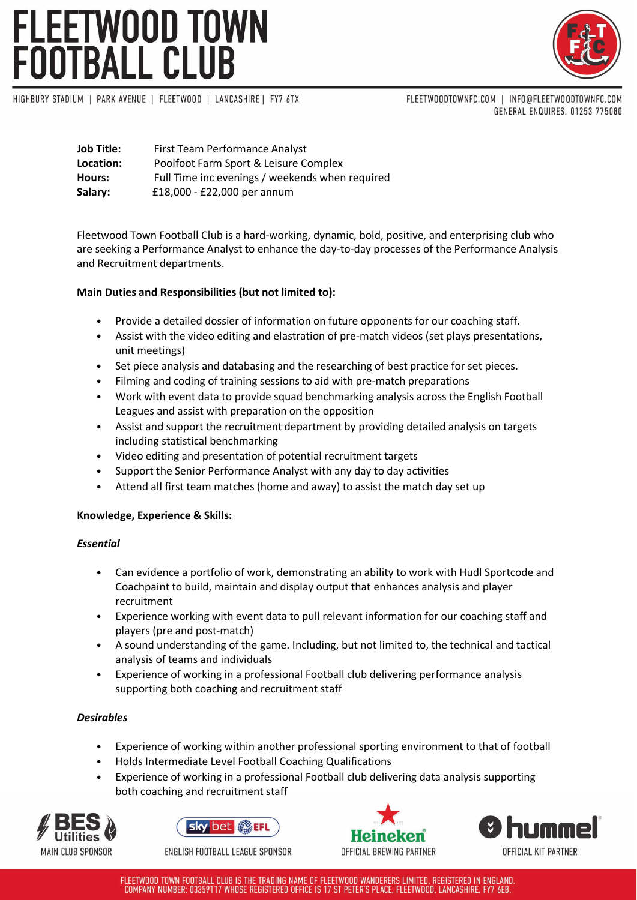# FLEETWOOD TOWN<br>FOOTBALL CLUB



HIGHBURY STADIUM | PARK AVENUE | FLEETWOOD | LANCASHIRE | FY7 6TX

FLEETWOODTOWNFC.COM | INFO@FLEETWOODTOWNFC.COM GENERAL ENQUIRES: 01253 775080

| <b>Job Title:</b> | First Team Performance Analyst                  |
|-------------------|-------------------------------------------------|
| Location:         | Poolfoot Farm Sport & Leisure Complex           |
| Hours:            | Full Time inc evenings / weekends when required |
| Salary:           | £18,000 - £22,000 per annum                     |

Fleetwood Town Football Club is a hard-working, dynamic, bold, positive, and enterprising club who are seeking a Performance Analyst to enhance the day-to-day processes of the Performance Analysis and Recruitment departments.

## **Main Duties and Responsibilities (but not limited to):**

- Provide a detailed dossier of information on future opponents for our coaching staff.
- Assist with the video editing and elastration of pre-match videos (set plays presentations, unit meetings)
- Set piece analysis and databasing and the researching of best practice for set pieces.
- Filming and coding of training sessions to aid with pre-match preparations
- Work with event data to provide squad benchmarking analysis across the English Football Leagues and assist with preparation on the opposition
- Assist and support the recruitment department by providing detailed analysis on targets including statistical benchmarking
- Video editing and presentation of potential recruitment targets
- Support the Senior Performance Analyst with any day to day activities
- Attend all first team matches (home and away) to assist the match day set up

### **Knowledge, Experience & Skills:**

### *Essential*

- Can evidence a portfolio of work, demonstrating an ability to work with Hudl Sportcode and Coachpaint to build, maintain and display output that enhances analysis and player recruitment
- Experience working with event data to pull relevant information for our coaching staff and players (pre and post-match)
- A sound understanding of the game. Including, but not limited to, the technical and tactical analysis of teams and individuals
- Experience of working in a professional Football club delivering performance analysis supporting both coaching and recruitment staff

## *Desirables*

- Experience of working within another professional sporting environment to that of football
- Holds Intermediate Level Football Coaching Qualifications
- Experience of working in a professional Football club delivering data analysis supporting both coaching and recruitment staff





ENGLISH FOOTBALL LEAGUE SPONSOR





FLEETWOOD TOWN FOOTBALL CLUB IS THE TRADING NAME OF FLEETWOOD WANDERERS LIMITED, REGISTERED IN ENGLAND. COMPANY NUMBER: 03359117 WHOSE REGISTERED OFFICE IS 17 ST PETER'S PLACE, FLEETWOOD, LANCASHIRE, FY7 6EB.